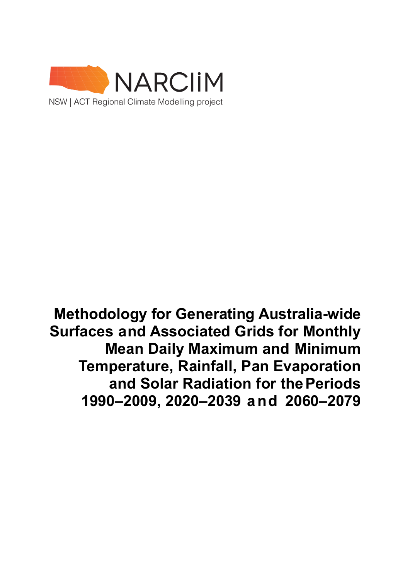

Methodology for Generating Australia-wide **Surfaces and Associated Grids for Monthly Mean Daily Maximum and Minimum Temperature, Rainfall, Pan Evaporation and Solar Radiation for thePeriods 1990–2009, 2020–2039 and 2060–2079**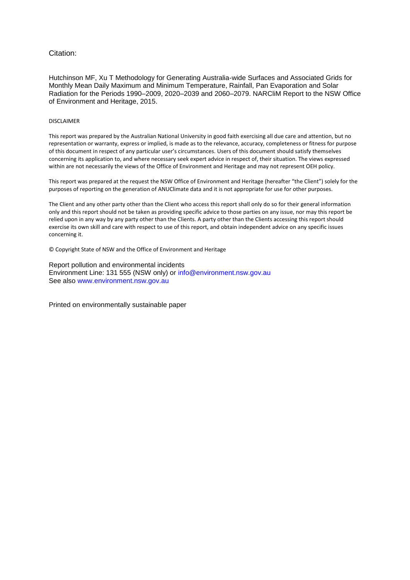#### Citation:

Hutchinson MF, Xu T Methodology for Generating Australia-wide Surfaces and Associated Grids for Monthly Mean Daily Maximum and Minimum Temperature, Rainfall, Pan Evaporation and Solar Radiation for the Periods 1990–2009, 2020–2039 and 2060–2079. NARCliM Report to the NSW Office of Environment and Heritage, 2015.

#### DISCLAIMER

This report was prepared by the Australian National University in good faith exercising all due care and attention, but no representation or warranty, express or implied, is made as to the relevance, accuracy, completeness or fitness for purpose of this document in respect of any particular user's circumstances. Users of this document should satisfy themselves concerning its application to, and where necessary seek expert advice in respect of, their situation. The views expressed within are not necessarily the views of the Office of Environment and Heritage and may not represent OEH policy.

This report was prepared at the request the NSW Office of Environment and Heritage (hereafter "the Client") solely for the purposes of reporting on the generation of ANUClimate data and it is not appropriate for use for other purposes.

The Client and any other party other than the Client who access this report shall only do so for their general information only and this report should not be taken as providing specific advice to those parties on any issue, nor may this report be relied upon in any way by any party other than the Clients. A party other than the Clients accessing this report should exercise its own skill and care with respect to use of this report, and obtain independent advice on any specific issues concerning it.

© Copyright State of NSW and the Office of Environment and Heritage

Report pollution and environmental incidents Environment Line: 131 555 (NSW only) or [info@environment.nsw.gov.au](mailto:info@environment.nsw.gov.au) See also [www.environment.nsw.gov.au](http://www.environment.nsw.gov.au/)

Printed on environmentally sustainable paper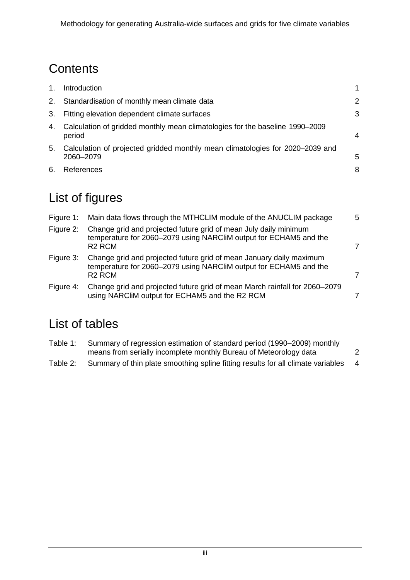# **Contents**

| $\mathbf{1}$ . | Introduction                                                                               |   |
|----------------|--------------------------------------------------------------------------------------------|---|
| 2.             | Standardisation of monthly mean climate data                                               | 2 |
| 3.             | Fitting elevation dependent climate surfaces                                               | 3 |
| 4.             | Calculation of gridded monthly mean climatologies for the baseline 1990–2009<br>period     | 4 |
| 5.             | Calculation of projected gridded monthly mean climatologies for 2020–2039 and<br>2060-2079 | 5 |
| 6.             | References                                                                                 | 8 |

# List of figures

| Figure 1: | Main data flows through the MTHCLIM module of the ANUCLIM package                                                                                              | 5 |
|-----------|----------------------------------------------------------------------------------------------------------------------------------------------------------------|---|
| Figure 2: | Change grid and projected future grid of mean July daily minimum<br>temperature for 2060-2079 using NARCIIM output for ECHAM5 and the<br>R <sub>2</sub> RCM    | 7 |
| Figure 3: | Change grid and projected future grid of mean January daily maximum<br>temperature for 2060-2079 using NARCIIM output for ECHAM5 and the<br>R <sub>2</sub> RCM | 7 |
| Figure 4: | Change grid and projected future grid of mean March rainfall for 2060-2079<br>using NARCliM output for ECHAM5 and the R2 RCM                                   | 7 |

# List of tables

| Table 1: | Summary of regression estimation of standard period (1990–2009) monthly          |                |  |
|----------|----------------------------------------------------------------------------------|----------------|--|
|          | means from serially incomplete monthly Bureau of Meteorology data                |                |  |
| Table 2: | Summary of thin plate smoothing spline fitting results for all climate variables | $\overline{4}$ |  |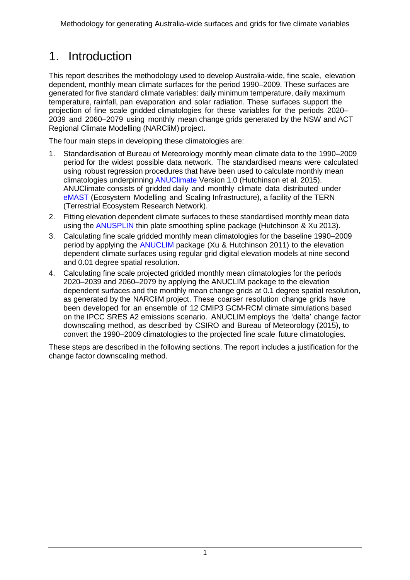# <span id="page-3-0"></span>1. Introduction

This report describes the methodology used to develop Australia-wide, fine scale, elevation dependent, monthly mean climate surfaces for the period 1990–2009. These surfaces are generated for five standard climate variables: daily minimum temperature, daily maximum temperature, rainfall, pan evaporation and solar radiation. These surfaces support the projection of fine scale gridded climatologies for these variables for the periods 2020– 2039 and 2060–2079 using monthly mean change grids generated by the NSW and ACT Regional Climate Modelling (NARCliM) project.

The four main steps in developing these climatologies are:

- 1. Standardisation of Bureau of Meteorology monthly mean climate data to the 1990–2009 period for the widest possible data network. The standardised means were calculated using robust regression procedures that have been used to calculate monthly mean climatologies underpinning [ANUClimate](http://www.emast.org.au/) Version 1.0 (Hutchinson et al. 2015). ANUClimate consists of gridded daily and monthly climate data distributed under [eMAST](http://www.emast.org.au/) (Ecosystem Modelling and Scaling Infrastructure), a facility of the TERN (Terrestrial Ecosystem Research Network).
- 2. Fitting elevation dependent climate surfaces to these standardised monthly mean data using the [ANUSPLIN](http://fennerschool.anu.edu.au/files/anusplin44.pdf) thin plate smoothing spline package (Hutchinson & Xu 2013).
- 3. Calculating fine scale gridded monthly mean climatologies for the baseline 1990–2009 period by applying the [ANUCLIM](http://fennerschool.anu.edu.au/files/anuclim61.pdf) package (Xu & Hutchinson 2011) to the elevation dependent climate surfaces using regular grid digital elevation models at nine second and 0.01 degree spatial resolution.
- 4. Calculating fine scale projected gridded monthly mean climatologies for the periods 2020–2039 and 2060–2079 by applying the ANUCLIM package to the elevation dependent surfaces and the monthly mean change grids at 0.1 degree spatial resolution, as generated by the NARCliM project. These coarser resolution change grids have been developed for an ensemble of 12 CMIP3 GCM-RCM climate simulations based on the IPCC SRES A2 emissions scenario. ANUCLIM employs the 'delta' change factor downscaling method, as described by CSIRO and Bureau of Meteorology (2015), to convert the 1990–2009 climatologies to the projected fine scale future climatologies.

These steps are described in the following sections. The report includes a justification for the change factor downscaling method.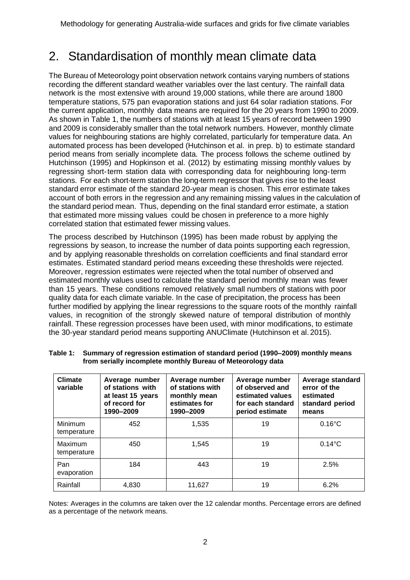## <span id="page-4-0"></span>2. Standardisation of monthly mean climate data

The Bureau of Meteorology point observation network contains varying numbers of stations recording the different standard weather variables over the last century. The rainfall data network is the most extensive with around 19,000 stations, while there are around 1800 temperature stations, 575 pan evaporation stations and just 64 solar radiation stations. For the current application, monthly data means are required for the 20 years from 1990 to 2009. As shown in Table 1, the numbers of stations with at least 15 years of record between 1990 and 2009 is considerably smaller than the total network numbers. However, monthly climate values for neighbouring stations are highly correlated, particularly for temperature data. An automated process has been developed (Hutchinson et al. in prep. b) to estimate standard period means from serially incomplete data. The process follows the scheme outlined by Hutchinson (1995) and Hopkinson et al. (2012) by estimating missing monthly values by regressing short-term station data with corresponding data for neighbouring long-term stations. For each short-term station the long-term regressor that gives rise to the least standard error estimate of the standard 20-year mean is chosen. This error estimate takes account of both errors in the regression and any remaining missing values in the calculation of the standard period mean. Thus, depending on the final standard error estimate, a station that estimated more missing values could be chosen in preference to a more highly correlated station that estimated fewer missing values.

The process described by Hutchinson (1995) has been made robust by applying the regressions by season, to increase the number of data points supporting each regression, and by applying reasonable thresholds on correlation coefficients and final standard error estimates. Estimated standard period means exceeding these thresholds were rejected. Moreover, regression estimates were rejected when the total number of observed and estimated monthly values used to calculate the standard period monthly mean was fewer than 15 years. These conditions removed relatively small numbers of stations with poor quality data for each climate variable. In the case of precipitation, the process has been further modified by applying the linear regressions to the square roots of the monthly rainfall values, in recognition of the strongly skewed nature of temporal distribution of monthly rainfall. These regression processes have been used, with minor modifications, to estimate the 30-year standard period means supporting ANUClimate (Hutchinson et al. 2015).

| <b>Climate</b><br>variable | Average number<br>of stations with<br>at least 15 years<br>of record for<br>1990-2009 | Average number<br>of stations with<br>monthly mean<br>estimates for<br>1990-2009 | Average number<br>of observed and<br>estimated values<br>for each standard<br>period estimate | Average standard<br>error of the<br>estimated<br>standard period<br>means |
|----------------------------|---------------------------------------------------------------------------------------|----------------------------------------------------------------------------------|-----------------------------------------------------------------------------------------------|---------------------------------------------------------------------------|
| Minimum<br>temperature     | 452                                                                                   | 1.535                                                                            | 19                                                                                            | $0.16^{\circ}$ C                                                          |
| Maximum<br>temperature     | 450                                                                                   | 1.545                                                                            | 19                                                                                            | $0.14$ °C                                                                 |
| Pan<br>evaporation         | 184                                                                                   | 443                                                                              | 19                                                                                            | 2.5%                                                                      |
| Rainfall                   | 4.830                                                                                 | 11.627                                                                           | 19                                                                                            | 6.2%                                                                      |

<span id="page-4-1"></span>**Table 1: Summary of regression estimation of standard period (1990–2009) monthly means from serially incomplete monthly Bureau of Meteorology data**

Notes: Averages in the columns are taken over the 12 calendar months. Percentage errors are defined as a percentage of the network means.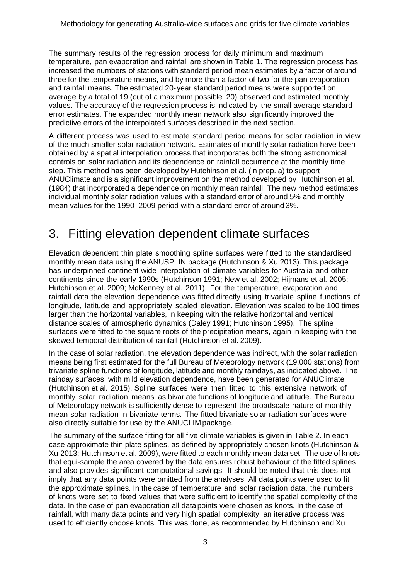The summary results of the regression process for daily minimum and maximum temperature, pan evaporation and rainfall are shown in Table 1. The regression process has increased the numbers of stations with standard period mean estimates by a factor of around three for the temperature means, and by more than a factor of two for the pan evaporation and rainfall means. The estimated 20-year standard period means were supported on average by a total of 19 (out of a maximum possible 20) observed and estimated monthly values. The accuracy of the regression process is indicated by the small average standard error estimates. The expanded monthly mean network also significantly improved the predictive errors of the interpolated surfaces described in the next section.

A different process was used to estimate standard period means for solar radiation in view of the much smaller solar radiation network. Estimates of monthly solar radiation have been obtained by a spatial interpolation process that incorporates both the strong astronomical controls on solar radiation and its dependence on rainfall occurrence at the monthly time step. This method has been developed by Hutchinson et al. (in prep. a) to support ANUClimate and is a significant improvement on the method developed by Hutchinson et al. (1984) that incorporated a dependence on monthly mean rainfall. The new method estimates individual monthly solar radiation values with a standard error of around 5% and monthly mean values for the 1990–2009 period with a standard error of around 3%.

### <span id="page-5-0"></span>3. Fitting elevation dependent climate surfaces

Elevation dependent thin plate smoothing spline surfaces were fitted to the standardised monthly mean data using the ANUSPLIN package (Hutchinson & Xu 2013). This package has underpinned continent-wide interpolation of climate variables for Australia and other continents since the early 1990s (Hutchinson 1991; New et al. 2002; Hijmans et al. 2005; Hutchinson et al. 2009; McKenney et al. 2011). For the temperature, evaporation and rainfall data the elevation dependence was fitted directly using trivariate spline functions of longitude, latitude and appropriately scaled elevation. Elevation was scaled to be 100 times larger than the horizontal variables, in keeping with the relative horizontal and vertical distance scales of atmospheric dynamics (Daley 1991; Hutchinson 1995). The spline surfaces were fitted to the square roots of the precipitation means, again in keeping with the skewed temporal distribution of rainfall (Hutchinson et al. 2009).

In the case of solar radiation, the elevation dependence was indirect, with the solar radiation means being first estimated for the full Bureau of Meteorology network (19,000 stations) from trivariate spline functions of longitude, latitude and monthly raindays, as indicated above. The rainday surfaces, with mild elevation dependence, have been generated for ANUClimate (Hutchinson et al. 2015). Spline surfaces were then fitted to this extensive network of monthly solar radiation means as bivariate functions of longitude and latitude. The Bureau of Meteorology network is sufficiently dense to represent the broadscale nature of monthly mean solar radiation in bivariate terms. The fitted bivariate solar radiation surfaces were also directly suitable for use by the ANUCLIM package.

The summary of the surface fitting for all five climate variables is given in Table 2. In each case approximate thin plate splines, as defined by appropriately chosen knots (Hutchinson & Xu 2013; Hutchinson et al. 2009), were fitted to each monthly mean data set. The use of knots that equi-sample the area covered by the data ensures robust behaviour of the fitted splines and also provides significant computational savings. It should be noted that this does not imply that any data points were omitted from the analyses. All data points were used to fit the approximate splines. In the case of temperature and solar radiation data, the numbers of knots were set to fixed values that were sufficient to identify the spatial complexity of the data. In the case of pan evaporation all data points were chosen as knots. In the case of rainfall, with many data points and very high spatial complexity, an iterative process was used to efficiently choose knots. This was done, as recommended by Hutchinson and Xu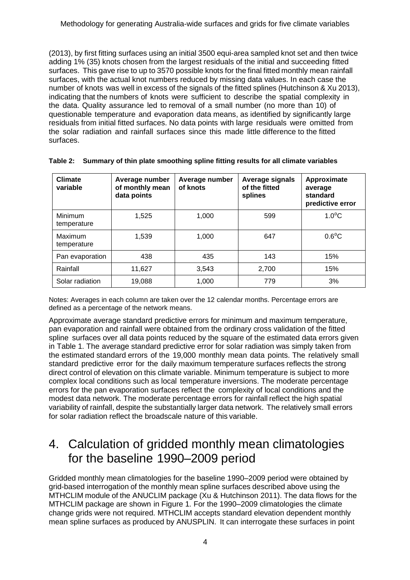(2013), by first fitting surfaces using an initial 3500 equi-area sampled knot set and then twice adding 1% (35) knots chosen from the largest residuals of the initial and succeeding fitted surfaces. This gave rise to up to 3570 possible knots for the final fitted monthly mean rainfall surfaces, with the actual knot numbers reduced by missing data values. In each case the number of knots was well in excess of the signals of the fitted splines (Hutchinson & Xu 2013), indicating that the numbers of knots were sufficient to describe the spatial complexity in the data. Quality assurance led to removal of a small number (no more than 10) of questionable temperature and evaporation data means, as identified by significantly large residuals from initial fitted surfaces. No data points with large residuals were omitted from the solar radiation and rainfall surfaces since this made little difference to the fitted surfaces.

| <b>Climate</b><br>variable | Average number<br>of monthly mean<br>data points | Average number<br>of knots | Average signals<br>of the fitted<br>splines | Approximate<br>average<br>standard<br>predictive error |
|----------------------------|--------------------------------------------------|----------------------------|---------------------------------------------|--------------------------------------------------------|
| Minimum<br>temperature     | 1,525                                            | 1,000                      | 599                                         | $1.0$ <sup>o</sup> C                                   |
| Maximum<br>temperature     | 1,539                                            | 1,000                      | 647                                         | $0.6^{\circ}$ C                                        |
| Pan evaporation            | 438                                              | 435                        | 143                                         | 15%                                                    |
| Rainfall                   | 11,627                                           | 3,543                      | 2.700                                       | 15%                                                    |
| Solar radiation            | 19,088                                           | 1,000                      | 779                                         | 3%                                                     |

<span id="page-6-1"></span>**Table 2: Summary of thin plate smoothing spline fitting results for all climate variables**

Notes: Averages in each column are taken over the 12 calendar months. Percentage errors are defined as a percentage of the network means.

Approximate average standard predictive errors for minimum and maximum temperature, pan evaporation and rainfall were obtained from the ordinary cross validation of the fitted spline surfaces over all data points reduced by the square of the estimated data errors given in Table 1. The average standard predictive error for solar radiation was simply taken from the estimated standard errors of the 19,000 monthly mean data points. The relatively small standard predictive error for the daily maximum temperature surfaces reflects the strong direct control of elevation on this climate variable. Minimum temperature is subject to more complex local conditions such as local temperature inversions. The moderate percentage errors for the pan evaporation surfaces reflect the complexity of local conditions and the modest data network. The moderate percentage errors for rainfall reflect the high spatial variability of rainfall, despite the substantially larger data network. The relatively small errors for solar radiation reflect the broadscale nature of this variable.

## <span id="page-6-0"></span>4. Calculation of gridded monthly mean climatologies for the baseline 1990–2009 period

Gridded monthly mean climatologies for the baseline 1990–2009 period were obtained by grid-based interrogation of the monthly mean spline surfaces described above using the MTHCLIM module of the ANUCLIM package (Xu & Hutchinson 2011). The data flows for the MTHCLIM package are shown in Figure 1. For the 1990–2009 climatologies the climate change grids were not required. MTHCLIM accepts standard elevation dependent monthly mean spline surfaces as produced by ANUSPLIN. It can interrogate these surfaces in point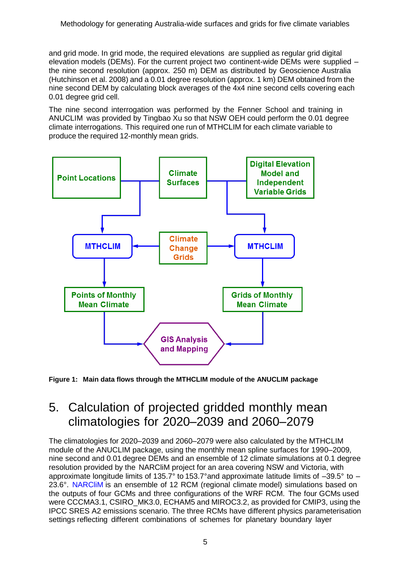and grid mode. In grid mode, the required elevations are supplied as regular grid digital elevation models (DEMs). For the current project two continent-wide DEMs were supplied – the nine second resolution (approx. 250 m) DEM as distributed by Geoscience Australia (Hutchinson et al. 2008) and a 0.01 degree resolution (approx. 1 km) DEM obtained from the nine second DEM by calculating block averages of the 4x4 nine second cells covering each 0.01 degree grid cell.

The nine second interrogation was performed by the Fenner School and training in ANUCLIM was provided by Tingbao Xu so that NSW OEH could perform the 0.01 degree climate interrogations. This required one run of MTHCLIM for each climate variable to produce the required 12-monthly mean grids.



<span id="page-7-1"></span>**Figure 1: Main data flows through the MTHCLIM module of the ANUCLIM package**

### <span id="page-7-0"></span>5. Calculation of projected gridded monthly mean climatologies for 2020–2039 and 2060–2079

The climatologies for 2020–2039 and 2060–2079 were also calculated by the MTHCLIM module of the ANUCLIM package, using the monthly mean spline surfaces for 1990–2009, nine second and 0.01 degree DEMs and an ensemble of 12 climate simulations at 0.1 degree resolution provided by the NARCliM project for an area covering NSW and Victoria, with approximate longitude limits of 135.7° to 153.7° and approximate latitude limits of  $-39.5$ ° to  $-$ 23.6°. [NARCliM](http://www.climatechange.environment.nsw.gov.au/Climate-projections-for-NSW/About-NARCliM/NARCliM-model-selection) is an ensemble of 12 RCM (regional climate model) simulations based on the outputs of four GCMs and three configurations of the WRF RCM. The four GCMs used were CCCMA3.1, CSIRO MK3.0, ECHAM5 and MIROC3.2, as provided for CMIP3, using the IPCC SRES A2 emissions scenario. The three RCMs have different physics parameterisation settings reflecting different combinations of schemes for planetary boundary layer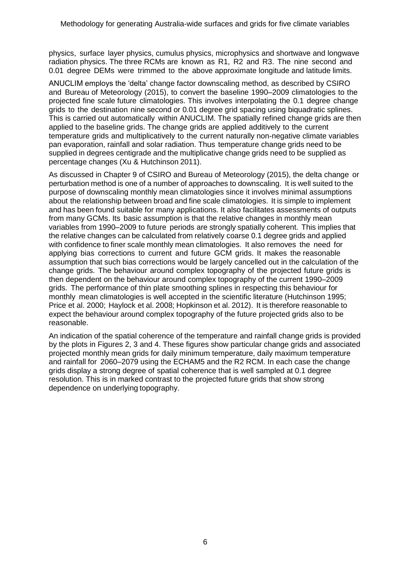physics, surface layer physics, cumulus physics, microphysics and shortwave and longwave radiation physics. The three RCMs are known as R1, R2 and R3. The nine second and 0.01 degree DEMs were trimmed to the above approximate longitude and latitude limits.

ANUCLIM employs the 'delta' change factor downscaling method, as described by CSIRO and Bureau of Meteorology (2015), to convert the baseline 1990–2009 climatologies to the projected fine scale future climatologies. This involves interpolating the 0.1 degree change grids to the destination nine second or 0.01 degree grid spacing using biquadratic splines. This is carried out automatically within ANUCLIM. The spatially refined change grids are then applied to the baseline grids. The change grids are applied additively to the current temperature grids and multiplicatively to the current naturally non-negative climate variables pan evaporation, rainfall and solar radiation. Thus temperature change grids need to be supplied in degrees centigrade and the multiplicative change grids need to be supplied as percentage changes (Xu & Hutchinson 2011).

As discussed in Chapter 9 of CSIRO and Bureau of Meteorology (2015), the delta change or perturbation method is one of a number of approaches to downscaling. It is well suited to the purpose of downscaling monthly mean climatologies since it involves minimal assumptions about the relationship between broad and fine scale climatologies. It is simple to implement and has been found suitable for many applications. It also facilitates assessments of outputs from many GCMs. Its basic assumption is that the relative changes in monthly mean variables from 1990–2009 to future periods are strongly spatially coherent. This implies that the relative changes can be calculated from relatively coarse 0.1 degree grids and applied with confidence to finer scale monthly mean climatologies. It also removes the need for applying bias corrections to current and future GCM grids. It makes the reasonable assumption that such bias corrections would be largely cancelled out in the calculation of the change grids. The behaviour around complex topography of the projected future grids is then dependent on the behaviour around complex topography of the current 1990–2009 grids. The performance of thin plate smoothing splines in respecting this behaviour for monthly mean climatologies is well accepted in the scientific literature (Hutchinson 1995; Price et al. 2000; Haylock et al. 2008; Hopkinson et al. 2012). It is therefore reasonable to expect the behaviour around complex topography of the future projected grids also to be reasonable.

An indication of the spatial coherence of the temperature and rainfall change grids is provided by the plots in Figures 2, 3 and 4. These figures show particular change grids and associated projected monthly mean grids for daily minimum temperature, daily maximum temperature and rainfall for 2060–2079 using the ECHAM5 and the R2 RCM. In each case the change grids display a strong degree of spatial coherence that is well sampled at 0.1 degree resolution. This is in marked contrast to the projected future grids that show strong dependence on underlying topography.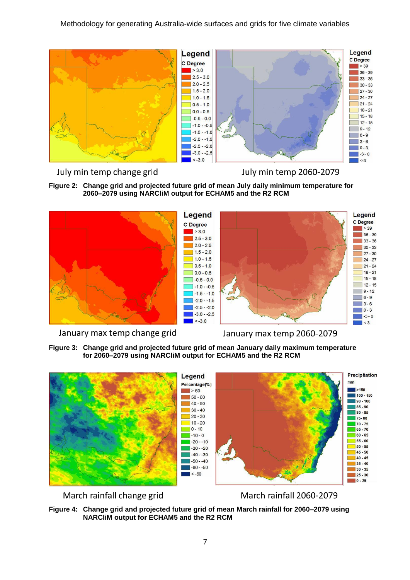



July min temp 2060-2079

<span id="page-9-0"></span>



January max temp change grid

January max temp 2060-2079

<span id="page-9-1"></span>**Figure 3: Change grid and projected future grid of mean January daily maximum temperature for 2060–2079 using NARCliM output for ECHAM5 and the R2 RCM**



March rainfall change grid

March rainfall 2060-2079

<span id="page-9-2"></span>**Figure 4: Change grid and projected future grid of mean March rainfall for 2060–2079 using NARCliM output for ECHAM5 and the R2 RCM**